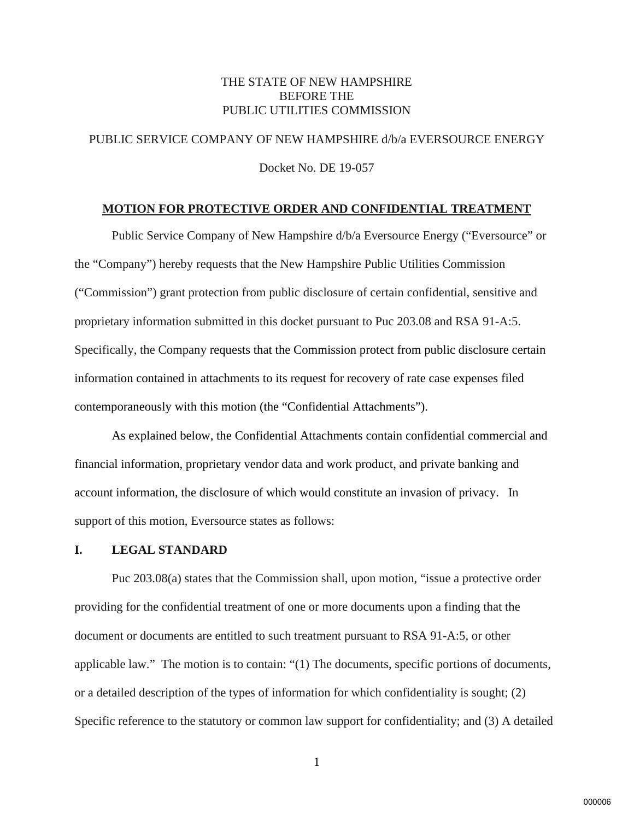### THE STATE OF NEW HAMPSHIRE BEFORE THE PUBLIC UTILITIES COMMISSION

# PUBLIC SERVICE COMPANY OF NEW HAMPSHIRE d/b/a EVERSOURCE ENERGY Docket No. DE 19-057

#### **MOTION FOR PROTECTIVE ORDER AND CONFIDENTIAL TREATMENT**

Public Service Company of New Hampshire d/b/a Eversource Energy ("Eversource" or the "Company") hereby requests that the New Hampshire Public Utilities Commission ("Commission") grant protection from public disclosure of certain confidential, sensitive and proprietary information submitted in this docket pursuant to Puc 203.08 and RSA 91-A:5. Specifically, the Company requests that the Commission protect from public disclosure certain information contained in attachments to its request for recovery of rate case expenses filed contemporaneously with this motion (the "Confidential Attachments").

As explained below, the Confidential Attachments contain confidential commercial and financial information, proprietary vendor data and work product, and private banking and account information, the disclosure of which would constitute an invasion of privacy. In support of this motion, Eversource states as follows:

#### **I. LEGAL STANDARD**

 Puc 203.08(a) states that the Commission shall, upon motion, "issue a protective order providing for the confidential treatment of one or more documents upon a finding that the document or documents are entitled to such treatment pursuant to RSA 91-A:5, or other applicable law." The motion is to contain: "(1) The documents, specific portions of documents, or a detailed description of the types of information for which confidentiality is sought; (2) Specific reference to the statutory or common law support for confidentiality; and (3) A detailed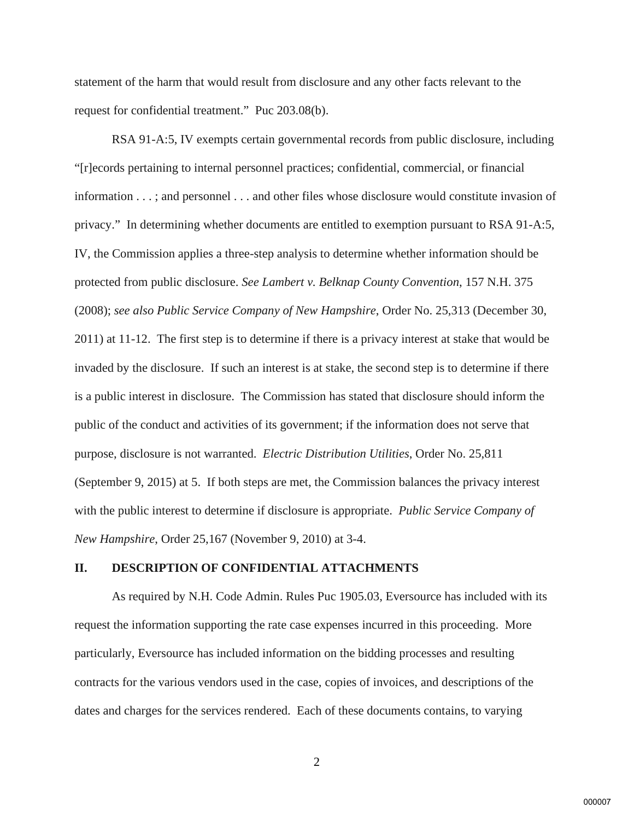statement of the harm that would result from disclosure and any other facts relevant to the request for confidential treatment." Puc 203.08(b).

RSA 91-A:5, IV exempts certain governmental records from public disclosure, including "[r]ecords pertaining to internal personnel practices; confidential, commercial, or financial information . . . ; and personnel . . . and other files whose disclosure would constitute invasion of privacy." In determining whether documents are entitled to exemption pursuant to RSA 91-A:5, IV, the Commission applies a three-step analysis to determine whether information should be protected from public disclosure. *See Lambert v. Belknap County Convention*, 157 N.H. 375 (2008); *see also Public Service Company of New Hampshire*, Order No. 25,313 (December 30, 2011) at 11-12. The first step is to determine if there is a privacy interest at stake that would be invaded by the disclosure. If such an interest is at stake, the second step is to determine if there is a public interest in disclosure. The Commission has stated that disclosure should inform the public of the conduct and activities of its government; if the information does not serve that purpose, disclosure is not warranted. *Electric Distribution Utilities*, Order No. 25,811 (September 9, 2015) at 5. If both steps are met, the Commission balances the privacy interest with the public interest to determine if disclosure is appropriate. *Public Service Company of New Hampshire*, Order 25,167 (November 9, 2010) at 3-4.

#### **II. DESCRIPTION OF CONFIDENTIAL ATTACHMENTS**

 As required by N.H. Code Admin. Rules Puc 1905.03, Eversource has included with its request the information supporting the rate case expenses incurred in this proceeding. More particularly, Eversource has included information on the bidding processes and resulting contracts for the various vendors used in the case, copies of invoices, and descriptions of the dates and charges for the services rendered. Each of these documents contains, to varying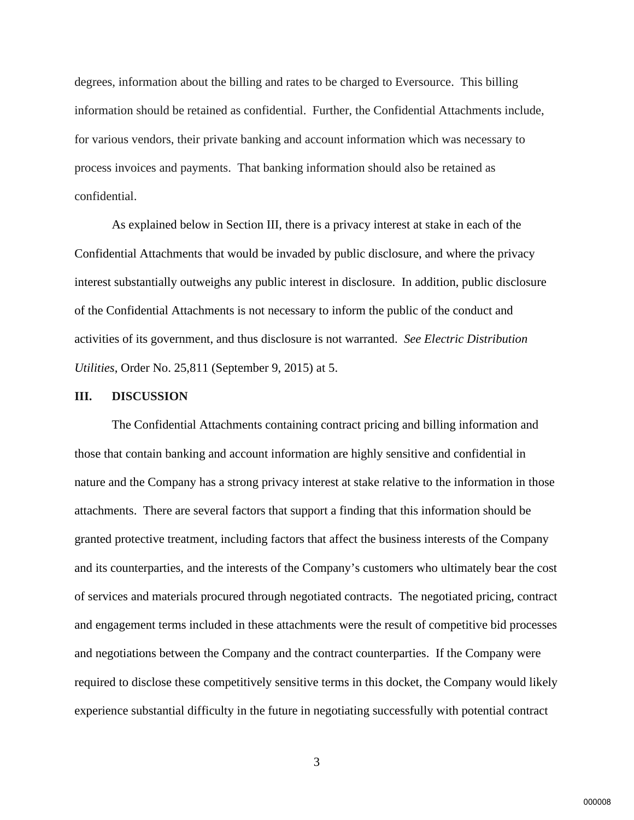degrees, information about the billing and rates to be charged to Eversource. This billing information should be retained as confidential. Further, the Confidential Attachments include, for various vendors, their private banking and account information which was necessary to process invoices and payments. That banking information should also be retained as confidential.

 As explained below in Section III, there is a privacy interest at stake in each of the Confidential Attachments that would be invaded by public disclosure, and where the privacy interest substantially outweighs any public interest in disclosure. In addition, public disclosure of the Confidential Attachments is not necessary to inform the public of the conduct and activities of its government, and thus disclosure is not warranted. *See Electric Distribution Utilities*, Order No. 25,811 (September 9, 2015) at 5.

#### **III. DISCUSSION**

The Confidential Attachments containing contract pricing and billing information and those that contain banking and account information are highly sensitive and confidential in nature and the Company has a strong privacy interest at stake relative to the information in those attachments. There are several factors that support a finding that this information should be granted protective treatment, including factors that affect the business interests of the Company and its counterparties, and the interests of the Company's customers who ultimately bear the cost of services and materials procured through negotiated contracts. The negotiated pricing, contract and engagement terms included in these attachments were the result of competitive bid processes and negotiations between the Company and the contract counterparties. If the Company were required to disclose these competitively sensitive terms in this docket, the Company would likely experience substantial difficulty in the future in negotiating successfully with potential contract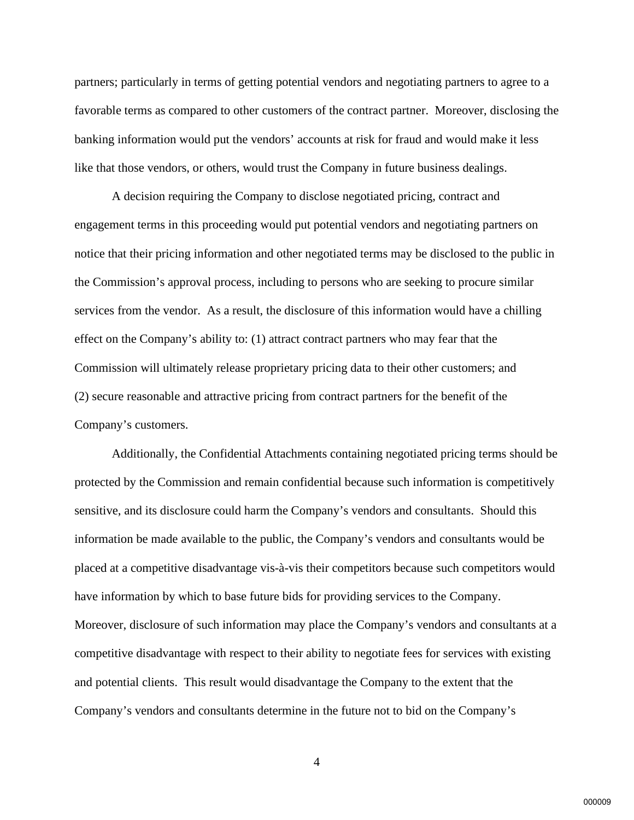partners; particularly in terms of getting potential vendors and negotiating partners to agree to a favorable terms as compared to other customers of the contract partner. Moreover, disclosing the banking information would put the vendors' accounts at risk for fraud and would make it less like that those vendors, or others, would trust the Company in future business dealings.

 A decision requiring the Company to disclose negotiated pricing, contract and engagement terms in this proceeding would put potential vendors and negotiating partners on notice that their pricing information and other negotiated terms may be disclosed to the public in the Commission's approval process, including to persons who are seeking to procure similar services from the vendor. As a result, the disclosure of this information would have a chilling effect on the Company's ability to: (1) attract contract partners who may fear that the Commission will ultimately release proprietary pricing data to their other customers; and (2) secure reasonable and attractive pricing from contract partners for the benefit of the Company's customers.

 Additionally, the Confidential Attachments containing negotiated pricing terms should be protected by the Commission and remain confidential because such information is competitively sensitive, and its disclosure could harm the Company's vendors and consultants. Should this information be made available to the public, the Company's vendors and consultants would be placed at a competitive disadvantage vis-à-vis their competitors because such competitors would have information by which to base future bids for providing services to the Company. Moreover, disclosure of such information may place the Company's vendors and consultants at a competitive disadvantage with respect to their ability to negotiate fees for services with existing and potential clients. This result would disadvantage the Company to the extent that the Company's vendors and consultants determine in the future not to bid on the Company's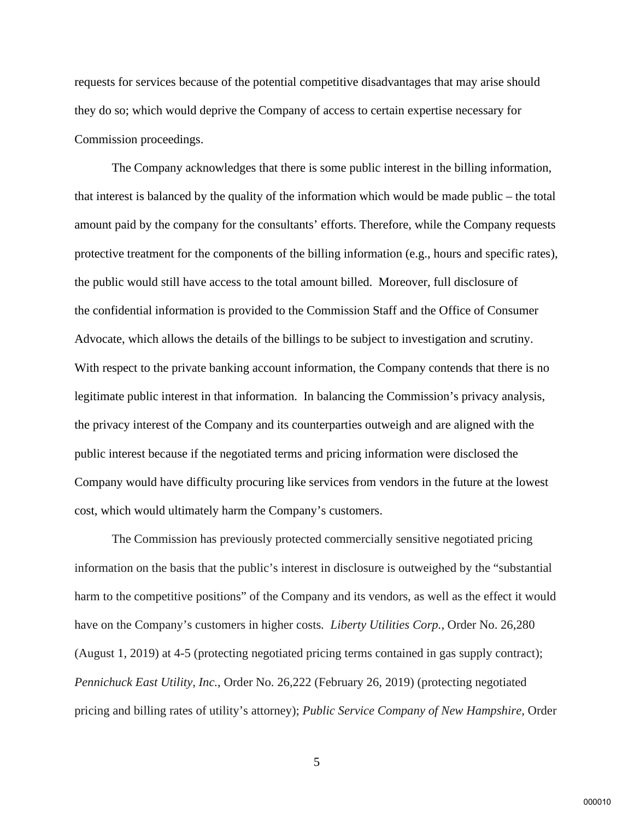requests for services because of the potential competitive disadvantages that may arise should they do so; which would deprive the Company of access to certain expertise necessary for Commission proceedings.

 The Company acknowledges that there is some public interest in the billing information, that interest is balanced by the quality of the information which would be made public – the total amount paid by the company for the consultants' efforts. Therefore, while the Company requests protective treatment for the components of the billing information (e.g., hours and specific rates), the public would still have access to the total amount billed. Moreover, full disclosure of the confidential information is provided to the Commission Staff and the Office of Consumer Advocate, which allows the details of the billings to be subject to investigation and scrutiny. With respect to the private banking account information, the Company contends that there is no legitimate public interest in that information. In balancing the Commission's privacy analysis, the privacy interest of the Company and its counterparties outweigh and are aligned with the public interest because if the negotiated terms and pricing information were disclosed the Company would have difficulty procuring like services from vendors in the future at the lowest cost, which would ultimately harm the Company's customers.

The Commission has previously protected commercially sensitive negotiated pricing information on the basis that the public's interest in disclosure is outweighed by the "substantial harm to the competitive positions" of the Company and its vendors, as well as the effect it would have on the Company's customers in higher costs*. Liberty Utilities Corp.,* Order No. 26,280 (August 1, 2019) at 4-5 (protecting negotiated pricing terms contained in gas supply contract); *Pennichuck East Utility, Inc.*, Order No. 26,222 (February 26, 2019) (protecting negotiated pricing and billing rates of utility's attorney); *Public Service Company of New Hampshire*, Order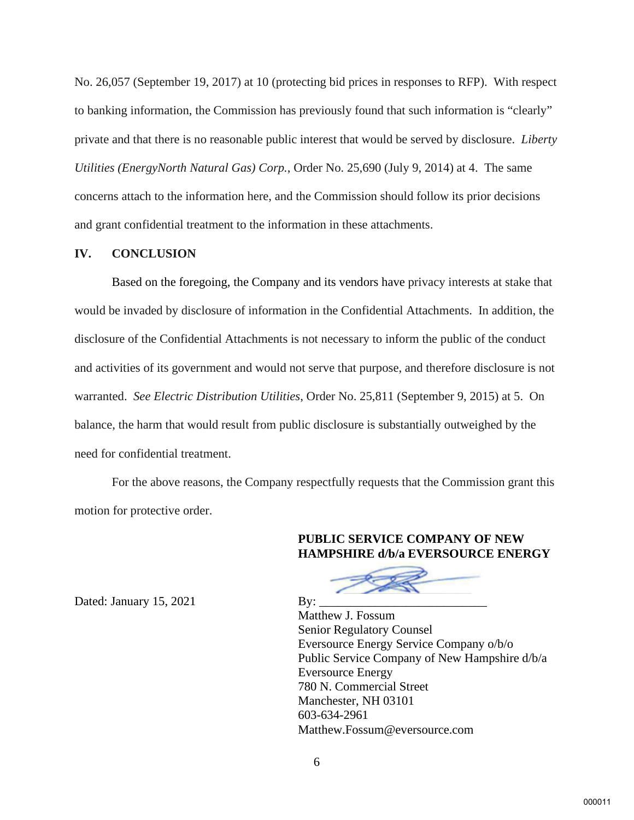No. 26,057 (September 19, 2017) at 10 (protecting bid prices in responses to RFP). With respect to banking information, the Commission has previously found that such information is "clearly" private and that there is no reasonable public interest that would be served by disclosure. *Liberty Utilities (EnergyNorth Natural Gas) Corp.*, Order No. 25,690 (July 9, 2014) at 4. The same concerns attach to the information here, and the Commission should follow its prior decisions and grant confidential treatment to the information in these attachments.

#### **IV. CONCLUSION**

 Based on the foregoing, the Company and its vendors have privacy interests at stake that would be invaded by disclosure of information in the Confidential Attachments. In addition, the disclosure of the Confidential Attachments is not necessary to inform the public of the conduct and activities of its government and would not serve that purpose, and therefore disclosure is not warranted. *See Electric Distribution Utilities*, Order No. 25,811 (September 9, 2015) at 5. On balance, the harm that would result from public disclosure is substantially outweighed by the need for confidential treatment.

 For the above reasons, the Company respectfully requests that the Commission grant this motion for protective order.

#### **PUBLIC SERVICE COMPANY OF NEW HAMPSHIRE d/b/a EVERSOURCE ENERGY**

Matthew J. Fossum Senior Regulatory Counsel Eversource Energy Service Company o/b/o Public Service Company of New Hampshire d/b/a Eversource Energy 780 N. Commercial Street Manchester, NH 03101 603-634-2961 Matthew.Fossum@eversource.com

Dated: January  $15, 2021$  By: